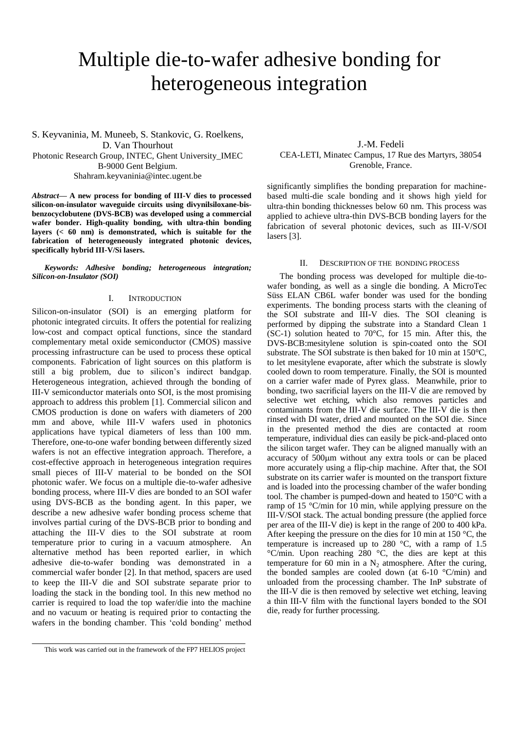# Multiple die-to-wafer adhesive bonding for heterogeneous integration

S. Keyvaninia, M. Muneeb, S. Stankovic, G. Roelkens, D. Van Thourhout Photonic Research Group, INTEC, Ghent University\_IMEC B-9000 Gent Belgium. Shahram.keyvaninia@intec.ugent.be

*Abstract***— A new process for bonding of III-V dies to processed silicon-on-insulator waveguide circuits using divynilsiloxane-bisbenzocyclobutene (DVS-BCB) was developed using a commercial wafer bonder. High-quality bonding, with ultra-thin bonding layers (< 60 nm) is demonstrated, which is suitable for the fabrication of heterogeneously integrated photonic devices, specifically hybrid III-V/Si lasers.**

*Keywords: Adhesive bonding; heterogeneous integration; Silicon-on-Insulator (SOI)*

## I. INTRODUCTION

Silicon-on-insulator (SOI) is an emerging platform for photonic integrated circuits. It offers the potential for realizing low-cost and compact optical functions, since the standard complementary metal oxide semiconductor (CMOS) massive processing infrastructure can be used to process these optical components. Fabrication of light sources on this platform is still a big problem, due to silicon's indirect bandgap. Heterogeneous integration, achieved through the bonding of III-V semiconductor materials onto SOI, is the most promising approach to address this problem [1]. Commercial silicon and CMOS production is done on wafers with diameters of 200 mm and above, while III-V wafers used in photonics applications have typical diameters of less than 100 mm. Therefore, one-to-one wafer bonding between differently sized wafers is not an effective integration approach. Therefore, a cost-effective approach in heterogeneous integration requires small pieces of III-V material to be bonded on the SOI photonic wafer. We focus on a multiple die-to-wafer adhesive bonding process, where III-V dies are bonded to an SOI wafer using DVS-BCB as the bonding agent. In this paper, we describe a new adhesive wafer bonding process scheme that involves partial curing of the DVS-BCB prior to bonding and attaching the III-V dies to the SOI substrate at room temperature prior to curing in a vacuum atmosphere. An alternative method has been reported earlier, in which adhesive die-to-wafer bonding was demonstrated in a commercial wafer bonder [2]. In that method, spacers are used to keep the III-V die and SOI substrate separate prior to loading the stack in the bonding tool. In this new method no carrier is required to load the top wafer/die into the machine and no vacuum or heating is required prior to contacting the wafers in the bonding chamber. This 'cold bonding' method

J.-M. Fedeli CEA-LETI, Minatec Campus, 17 Rue des Martyrs, 38054 Grenoble, France.

significantly simplifies the bonding preparation for machinebased multi-die scale bonding and it shows high yield for ultra-thin bonding thicknesses below 60 nm. This process was applied to achieve ultra-thin DVS-BCB bonding layers for the fabrication of several photonic devices, such as III-V/SOI lasers [3].

## II. DESCRIPTION OF THE BONDING PROCESS

The bonding process was developed for multiple die-towafer bonding, as well as a single die bonding. A MicroTec Süss ELAN CB6L wafer bonder was used for the bonding experiments. The bonding process starts with the cleaning of the SOI substrate and III-V dies. The SOI cleaning is performed by dipping the substrate into a Standard Clean 1 (SC-1) solution heated to 70°C, for 15 min. After this, the DVS-BCB:mesitylene solution is spin-coated onto the SOI substrate. The SOI substrate is then baked for 10 min at 150°C, to let mesitylene evaporate, after which the substrate is slowly cooled down to room temperature. Finally, the SOI is mounted on a carrier wafer made of Pyrex glass. Meanwhile, prior to bonding, two sacrificial layers on the III-V die are removed by selective wet etching, which also removes particles and contaminants from the III-V die surface. The III-V die is then rinsed with DI water, dried and mounted on the SOI die. Since in the presented method the dies are contacted at room temperature, individual dies can easily be pick-and-placed onto the silicon target wafer. They can be aligned manually with an accuracy of 500µm without any extra tools or can be placed more accurately using a flip-chip machine. After that, the SOI substrate on its carrier wafer is mounted on the transport fixture and is loaded into the processing chamber of the wafer bonding tool. The chamber is pumped-down and heated to 150°C with a ramp of 15 °C/min for 10 min, while applying pressure on the III-V/SOI stack. The actual bonding pressure (the applied force per area of the III-V die) is kept in the range of 200 to 400 kPa. After keeping the pressure on the dies for 10 min at 150 °C, the temperature is increased up to 280 °C, with a ramp of 1.5 °C/min. Upon reaching 280 °C, the dies are kept at this temperature for 60 min in a  $N_2$  atmosphere. After the curing, the bonded samples are cooled down (at  $6-10$  °C/min) and unloaded from the processing chamber. The InP substrate of the III-V die is then removed by selective wet etching, leaving a thin III-V film with the functional layers bonded to the SOI die, ready for further processing.

This work was carried out in the framework of the FP7 HELIOS project